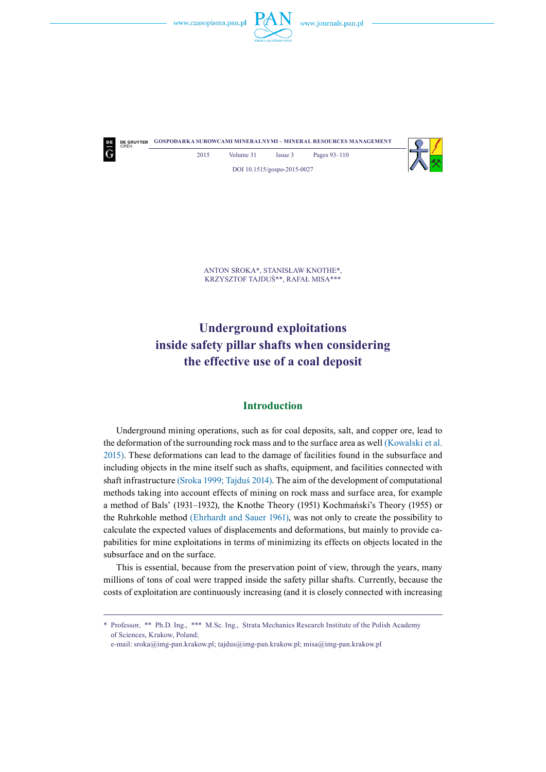

**DE GRUYTER GOSPODARKA SUROWCAMI MINERALNYMI – MINERAL RESOURCES MANAGEMENT** 2015 Volume 31 Issue 3 Pages 93-110

DOI 10.1515/gospo-2015-0027



Anton Sroka\*, Stanisław Knothe\*, Krzysztof Tajduś\*\*, Rafał Misa\*\*\*

# **Underground exploitations inside safety pillar shafts when considering the effective use of a coal deposit**

### **Introduction**

Underground mining operations, such as for coal deposits, salt, and copper ore, lead to the deformation of the surrounding rock mass and to the surface area as well (Kowalski et al. 2015). These deformations can lead to the damage of facilities found in the subsurface and including objects in the mine itself such as shafts, equipment, and facilities connected with shaft infrastructure (Sroka 1999; Tajduś 2014). The aim of the development of computational methods taking into account effects of mining on rock mass and surface area, for example a method of Bals' (1931–1932), the Knothe Theory (1951) Kochmański's Theory (1955) or the Ruhrkohle method (Ehrhardt and Sauer 1961), was not only to create the possibility to calculate the expected values of displacements and deformations, but mainly to provide capabilities for mine exploitations in terms of minimizing its effects on objects located in the subsurface and on the surface.

This is essential, because from the preservation point of view, through the years, many millions of tons of coal were trapped inside the safety pillar shafts. Currently, because the costs of exploitation are continuously increasing (and it is closely connected with increasing

<sup>\*</sup> Professor, \*\* Ph.D. Ing., \*\*\* M.Sc. Ing., Strata Mechanics Research Institute of the Polish Academy of Sciences, Krakow, Poland;

e-mail: sroka@img-pan.krakow.pl; tajdus@img-pan.krakow.pl; misa@img-pan.krakow.pl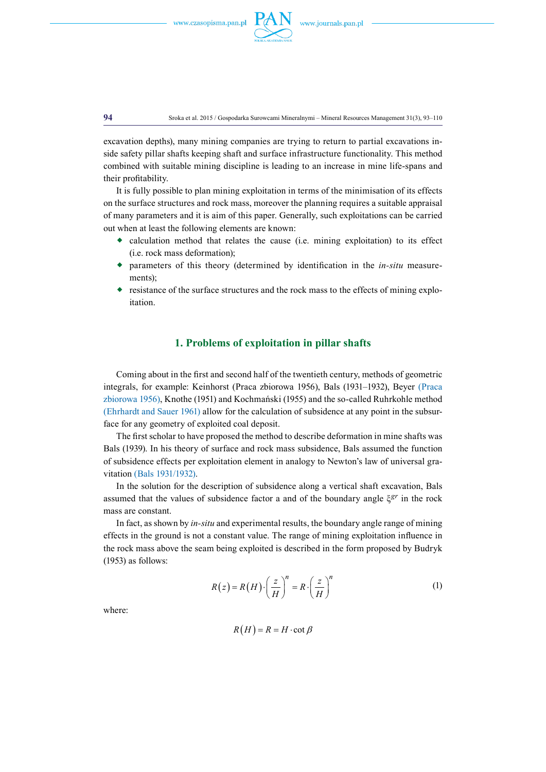

**94** Sroka et al. 2015 / Gospodarka Surowcami Mineralnymi – Mineral Resources Management 31(3), 93–110

excavation depths), many mining companies are trying to return to partial excavations inside safety pillar shafts keeping shaft and surface infrastructure functionality. This method combined with suitable mining discipline is leading to an increase in mine life-spans and their profitability.

It is fully possible to plan mining exploitation in terms of the minimisation of its effects on the surface structures and rock mass, moreover the planning requires a suitable appraisal of many parameters and it is aim of this paper. Generally, such exploitations can be carried out when at least the following elements are known:

- $\bullet$  calculation method that relates the cause (i.e. mining exploitation) to its effect (i.e. rock mass deformation);
- parameters of this theory (determined by identification in the *in-situ* measurements)<sup>;</sup>
- $\bullet$  resistance of the surface structures and the rock mass to the effects of mining exploitation.

### **1. Problems of exploitation in pillar shafts**

Coming about in the first and second half of the twentieth century, methods of geometric integrals, for example: Keinhorst (Praca zbiorowa 1956), Bals (1931–1932), Beyer (Praca zbiorowa 1956), Knothe (1951) and Kochmański (1955) and the so-called Ruhrkohle method (Ehrhardt and Sauer 1961) allow for the calculation of subsidence at any point in the subsurface for any geometry of exploited coal deposit.

The first scholar to have proposed the method to describe deformation in mine shafts was Bals (1939). In his theory of surface and rock mass subsidence, Bals assumed the function of subsidence effects per exploitation element in analogy to Newton's law of universal gravitation (Bals 1931/1932).

In the solution for the description of subsidence along a vertical shaft excavation, Bals assumed that the values of subsidence factor a and of the boundary angle ξ*gr* in the rock mass are constant.

In fact, as shown by *in-situ* and experimental results, the boundary angle range of mining effects in the ground is not a constant value. The range of mining exploitation influence in the rock mass above the seam being exploited is described in the form proposed by Budryk (1953) as follows:

$$
R(z) = R(H) \cdot \left(\frac{z}{H}\right)^n = R \cdot \left(\frac{z}{H}\right)^n \tag{1}
$$

where:

$$
R(H) = R = H \cdot \cot \beta
$$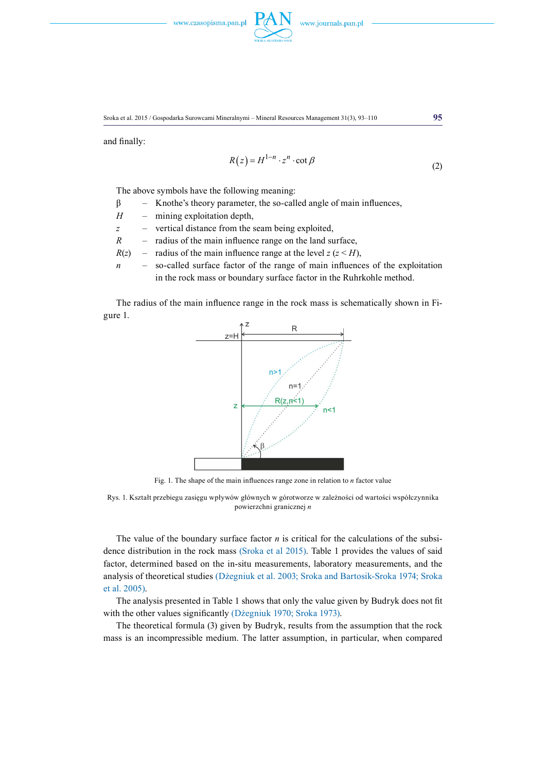

and finally:

$$
R(z) = H^{1-n} \cdot z^n \cdot \cot \beta \tag{2}
$$

The above symbols have the following meaning:

- $β$  Knothe's theory parameter, the so-called angle of main influences,
- *H* mining exploitation depth,

*z* – vertical distance from the seam being exploited,

- *R* radius of the main influence range on the land surface,
- $R(z)$  radius of the main influence range at the level  $z (z \leq H)$ ,
- *n* so-called surface factor of the range of main influences of the exploitation in the rock mass or boundary surface factor in the Ruhrkohle method.

The radius of the main influence range in the rock mass is schematically shown in Figure 1.



Fig. 1. The shape of the main influences range zone in relation to *n* factor value

Rys. 1. Kształt przebiegu zasięgu wpływów głównych w górotworze w zależności od wartości współczynnika powierzchni granicznej *n*

The value of the boundary surface factor *n* is critical for the calculations of the subsidence distribution in the rock mass (Sroka et al 2015). Table 1 provides the values of said factor, determined based on the in-situ measurements, laboratory measurements, and the analysis of theoretical studies (Dżegniuk et al. 2003; Sroka and Bartosik-Sroka 1974; Sroka et al. 2005).

The analysis presented in Table 1 shows that only the value given by Budryk does not fit with the other values significantly (Dżegniuk 1970; Sroka 1973).

The theoretical formula (3) given by Budryk, results from the assumption that the rock mass is an incompressible medium. The latter assumption, in particular, when compared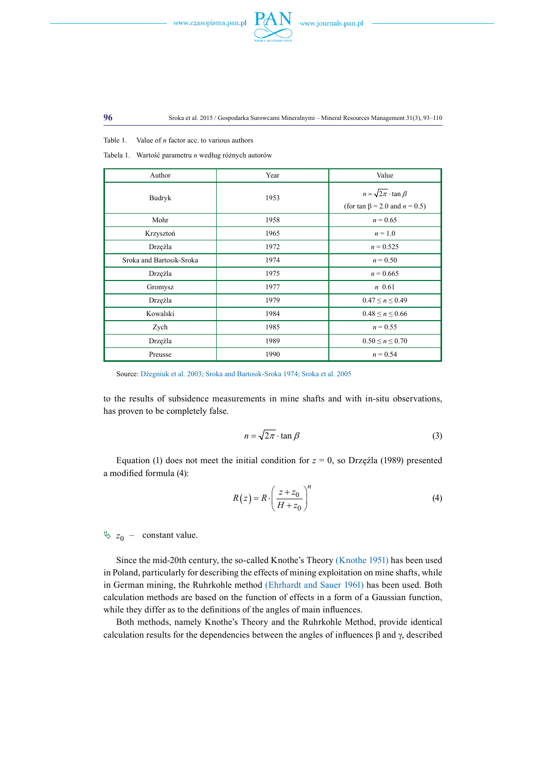



Table 1. Value of *n* factor acc. to various authors

Tabela 1. Wartość parametru *n* według różnych autorów

| Author                   | Year | Value                                                                            |
|--------------------------|------|----------------------------------------------------------------------------------|
| Budryk                   | 1953 | $n = \sqrt{2\pi} \cdot \tan \beta$<br>(for tan $\beta$ = 2.0 and <i>n</i> = 0.5) |
| Mohr                     | 1958 | $n = 0.65$                                                                       |
| Krzysztoń                | 1965 | $n = 1.0$                                                                        |
| Drzęźla                  | 1972 | $n = 0.525$                                                                      |
| Sroka and Bartosik-Sroka | 1974 | $n = 0.50$                                                                       |
| Drzęźla                  | 1975 | $n = 0.665$                                                                      |
| Gromysz                  | 1977 | $n$ 0.61                                                                         |
| Drzęźla                  | 1979 | $0.47 \le n \le 0.49$                                                            |
| Kowalski                 | 1984 | $0.48 \le n \le 0.66$                                                            |
| Zych                     | 1985 | $n = 0.55$                                                                       |
| Drzęźla                  | 1989 | $0.50 \le n \le 0.70$                                                            |
| Preusse                  | 1990 | $n = 0.54$                                                                       |

Source: Dżegniuk et al. 2003; Sroka and Bartosik-Sroka 1974; Sroka et al. 2005

to the results of subsidence measurements in mine shafts and with in-situ observations, has proven to be completely false.

$$
n = \sqrt{2\pi} \cdot \tan \beta \tag{3}
$$

Equation (1) does not meet the initial condition for  $z = 0$ , so Drzęźla (1989) presented a modified formula (4):

$$
R(z) = R \cdot \left(\frac{z + z_0}{H + z_0}\right)^n
$$
\n(4)

 $\frac{1}{2}$  *z*<sub>0</sub> – constant value.

Since the mid-20th century, the so-called Knothe's Theory (Knothe 1951) has been used in Poland, particularly for describing the effects of mining exploitation on mine shafts, while in German mining, the Ruhrkohle method (Ehrhardt and Sauer 1961) has been used. Both calculation methods are based on the function of effects in a form of a Gaussian function, while they differ as to the definitions of the angles of main influences.

Both methods, namely Knothe's Theory and the Ruhrkohle Method, provide identical calculation results for the dependencies between the angles of influences β and γ, described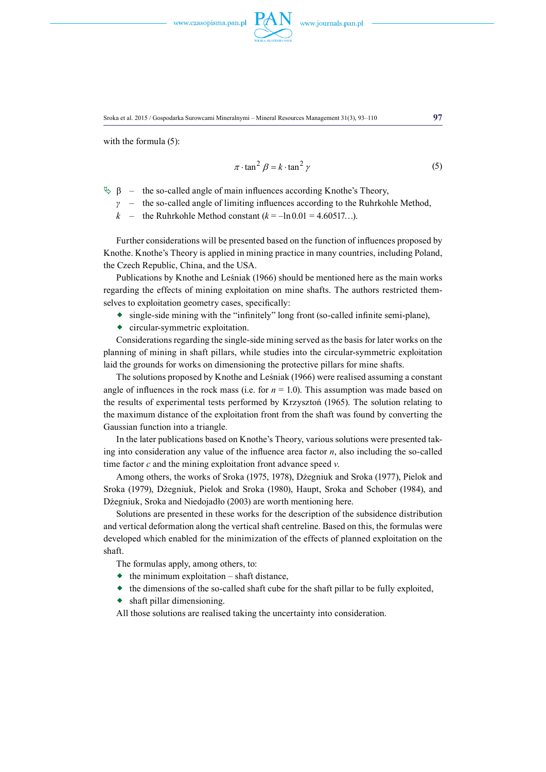

with the formula  $(5)$ :

$$
\pi \cdot \tan^2 \beta = k \cdot \tan^2 \gamma \tag{5}
$$

- $\&$  β the so-called angle of main influences according Knothe's Theory,
	- *γ* the so-called angle of limiting influences according to the Ruhrkohle Method,
	- *k* the Ruhrkohle Method constant  $(k = -\ln 0.01 = 4.60517...)$ .

Further considerations will be presented based on the function of influences proposed by Knothe. Knothe's Theory is applied in mining practice in many countries, including Poland, the Czech Republic, China, and the USA.

Publications by Knothe and Leśniak (1966) should be mentioned here as the main works regarding the effects of mining exploitation on mine shafts. The authors restricted themselves to exploitation geometry cases, specifically:

- single-side mining with the "infinitely" long front (so-called infinite semi-plane),
- circular-symmetric exploitation.

Considerations regarding the single-side mining served as the basis for later works on the planning of mining in shaft pillars, while studies into the circular-symmetric exploitation laid the grounds for works on dimensioning the protective pillars for mine shafts.

The solutions proposed by Knothe and Leśniak (1966) were realised assuming a constant angle of influences in the rock mass (i.e. for  $n = 1.0$ ). This assumption was made based on the results of experimental tests performed by Krzysztoń (1965). The solution relating to the maximum distance of the exploitation front from the shaft was found by converting the Gaussian function into a triangle.

In the later publications based on Knothe's Theory, various solutions were presented taking into consideration any value of the influence area factor *n*, also including the so-called time factor *c* and the mining exploitation front advance speed *v*.

Among others, the works of Sroka (1975, 1978), Dżegniuk and Sroka (1977), Pielok and Sroka (1979), Dżegniuk, Pielok and Sroka (1980), Haupt, Sroka and Schober (1984), and Dżegniuk, Sroka and Niedojadło (2003) are worth mentioning here.

Solutions are presented in these works for the description of the subsidence distribution and vertical deformation along the vertical shaft centreline. Based on this, the formulas were developed which enabled for the minimization of the effects of planned exploitation on the shaft.

The formulas apply, among others, to:

- $\bullet$  the minimum exploitation shaft distance,
- $\bullet$  the dimensions of the so-called shaft cube for the shaft pillar to be fully exploited.
- shaft pillar dimensioning.

All those solutions are realised taking the uncertainty into consideration.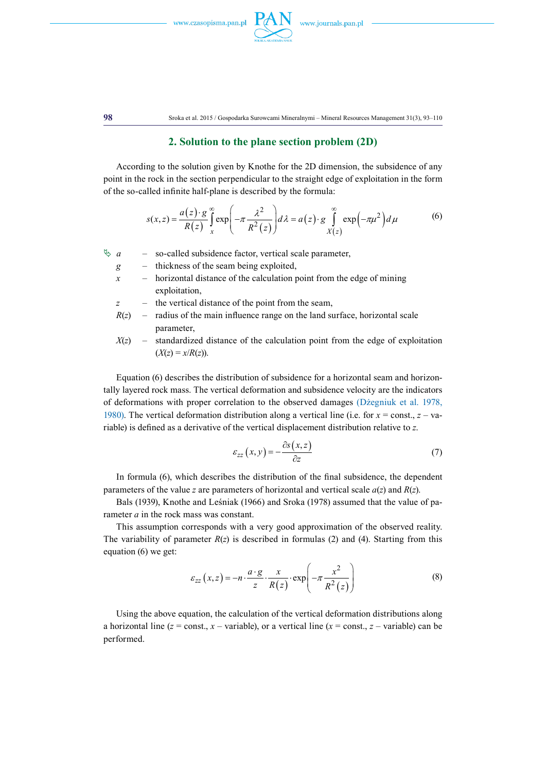



**98** Sroka et al. 2015 / Gospodarka Surowcami Mineralnymi – Mineral Resources Management 31(3), 93–110

### **2. Solution to the plane section problem (2D)**

According to the solution given by Knothe for the 2D dimension, the subsidence of any point in the rock in the section perpendicular to the straight edge of exploitation in the form of the so-called infinite half-plane is described by the formula:

$$
s(x, z) = \frac{a(z) \cdot g}{R(z)} \int_{x}^{\infty} \exp\left(-\pi \frac{\lambda^2}{R^2(z)}\right) d\lambda = a(z) \cdot g \int_{X(z)}^{\infty} \exp\left(-\pi \mu^2\right) d\mu
$$
 (6)

 $\upphi$  *a* – so-called subsidence factor, vertical scale parameter,

- *g* thickness of the seam being exploited,
- $x$  horizontal distance of the calculation point from the edge of mining exploitation,
- *z* the vertical distance of the point from the seam,
- $R(z)$  radius of the main influence range on the land surface, horizontal scale parameter,
- $X(z)$  standardized distance of the calculation point from the edge of exploitation  $(X(z) = x/R(z)).$

Equation (6) describes the distribution of subsidence for a horizontal seam and horizontally layered rock mass. The vertical deformation and subsidence velocity are the indicators of deformations with proper correlation to the observed damages (Dżegniuk et al. 1978, 1980). The vertical deformation distribution along a vertical line (i.e. for  $x = const.$ ,  $z - va$ riable) is defined as a derivative of the vertical displacement distribution relative to *z*.

$$
\varepsilon_{zz}\left(x,y\right) = -\frac{\partial s\left(x,z\right)}{\partial z} \tag{7}
$$

In formula (6), which describes the distribution of the final subsidence, the dependent parameters of the value *z* are parameters of horizontal and vertical scale *a*(*z*) and *R*(*z*).

Bals (1939), Knothe and Leśniak (1966) and Sroka (1978) assumed that the value of parameter *a* in the rock mass was constant.

This assumption corresponds with a very good approximation of the observed reality. The variability of parameter  $R(z)$  is described in formulas (2) and (4). Starting from this equation (6) we get:

$$
\varepsilon_{zz}\left(x,z\right) = -n \cdot \frac{a \cdot g}{z} \cdot \frac{x}{R(z)} \cdot \exp\left(-\pi \frac{x^2}{R^2(z)}\right) \tag{8}
$$

Using the above equation, the calculation of the vertical deformation distributions along a horizontal line ( $z = \text{const.}$ ,  $x - \text{variable}$ ), or a vertical line ( $x = \text{const.}$ ,  $z - \text{variable}$ ) can be performed.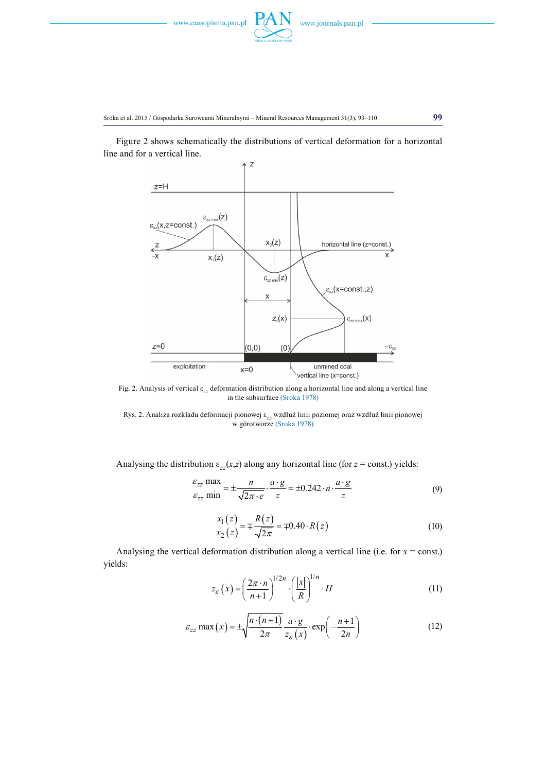

Figure 2 shows schematically the distributions of vertical deformation for a horizontal line and for a vertical line.



Fig. 2. Analysis of vertical ε*zz* deformation distribution along a horizontal line and along a vertical line in the subsurface (Sroka 1978)

Rys. 2. Analiza rozkładu deformacji pionowej ε*zz* wzdłuż linii poziomej oraz wzdłuż linii pionowej w górotworze (Sroka 1978)

Analysing the distribution  $\varepsilon_{zz}(x, z)$  along any horizontal line (for  $z = \text{const.}$ ) yields:

$$
\frac{\varepsilon_{zz} \text{ max}}{\varepsilon_{zz} \text{ min}} = \pm \frac{n}{\sqrt{2\pi \cdot e}} \cdot \frac{a \cdot g}{z} = \pm 0.242 \cdot n \cdot \frac{a \cdot g}{z}
$$
(9)

$$
\begin{aligned} x_1(z) &= \pm \frac{R(z)}{\sqrt{2\pi}} = \pm 0.40 \cdot R(z) \end{aligned} \tag{10}
$$

Analysing the vertical deformation distribution along a vertical line (i.e. for  $x = const.$ ) yields:

$$
z_{\varepsilon}(x) = \left(\frac{2\pi \cdot n}{n+1}\right)^{1/2n} \cdot \left(\frac{|x|}{R}\right)^{1/n} \cdot H \tag{11}
$$

$$
\varepsilon_{zz} \max(x) = \pm \sqrt{\frac{n \cdot (n+1)}{2\pi}} \frac{a \cdot g}{z_{\varepsilon}(x)} \cdot \exp\left(-\frac{n+1}{2n}\right)
$$
(12)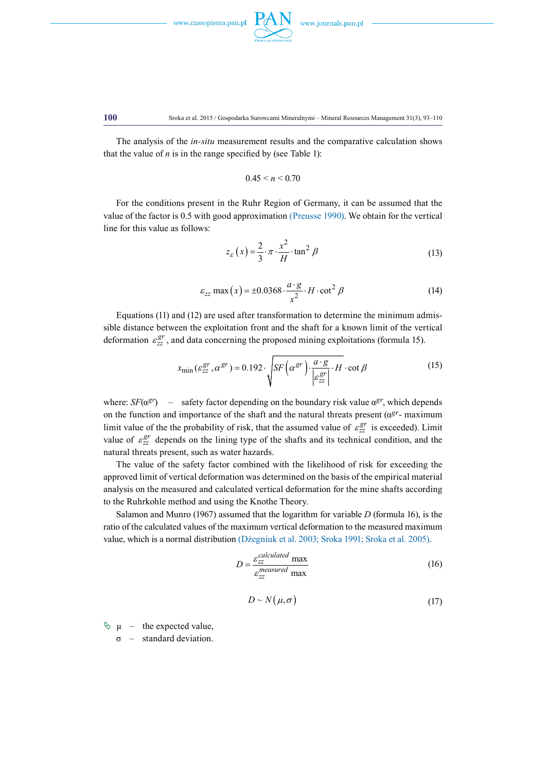

#### **100** Sroka et al. 2015 / Gospodarka Surowcami Mineralnymi – Mineral Resources Management 31(3), 93–110

The analysis of the *in-situ* measurement results and the comparative calculation shows that the value of  $n$  is in the range specified by (see Table 1):

$$
0.45 \leq n \leq 0.70
$$

For the conditions present in the Ruhr Region of Germany, it can be assumed that the value of the factor is 0.5 with good approximation (Preusse 1990). We obtain for the vertical line for this value as follows:

$$
z_{\varepsilon}(x) = \frac{2}{3} \cdot \pi \cdot \frac{x^2}{H} \cdot \tan^2 \beta \tag{13}
$$

$$
\varepsilon_{zz} \max(x) = \pm 0.0368 \cdot \frac{a \cdot g}{x^2} \cdot H \cdot \cot^2 \beta \tag{14}
$$

Equations (11) and (12) are used after transformation to determine the minimum admissible distance between the exploitation front and the shaft for a known limit of the vertical deformation  $\varepsilon_{zz}^{gr}$ , and data concerning the proposed mining exploitations (formula 15).

$$
x_{\min}(\varepsilon_{zz}^{gr}, \alpha^{gr}) = 0.192 \cdot \sqrt{SF\left(\alpha^{gr}\right) \cdot \frac{a \cdot g}{\left|\varepsilon_{zz}^{gr}\right|}} \cdot H \cdot \cot \beta \tag{15}
$$

where:  $SF(\alpha^{gr})$  – safety factor depending on the boundary risk value  $\alpha^{gr}$ , which depends on the function and importance of the shaft and the natural threats present ( $\alpha^{gr}$ - maximum limit value of the the probability of risk, that the assumed value of  $\varepsilon_{zz}^{gr}$  is exceeded). Limit value of  $\varepsilon_{zz}^{gr}$  depends on the lining type of the shafts and its technical condition, and the natural threats present, such as water hazards.

The value of the safety factor combined with the likelihood of risk for exceeding the approved limit of vertical deformation was determined on the basis of the empirical material analysis on the measured and calculated vertical deformation for the mine shafts according to the Ruhrkohle method and using the Knothe Theory.

Salamon and Munro (1967) assumed that the logarithm for variable *D* (formula 16), is the ratio of the calculated values of the maximum vertical deformation to the measured maximum value, which is a normal distribution (Dżegniuk et al. 2003; Sroka 1991; Sroka et al. 2005).

$$
D = \frac{\varepsilon_{zz}^{\text{calculated}} \max}{\varepsilon_{zz}^{\text{measured}} \max} \tag{16}
$$

$$
D \sim N(\mu, \sigma) \tag{17}
$$

 $\psi \mu$  – the expected value,

 $\sigma$  – standard deviation.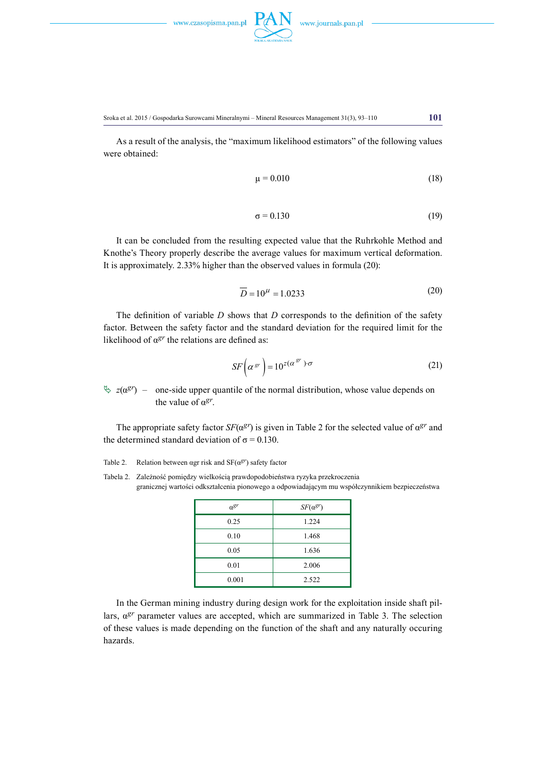

Sroka et al. 2015 / Gospodarka Surowcami Mineralnymi – Mineral Resources Management 31(3), 93–110 **101**

As a result of the analysis, the "maximum likelihood estimators" of the following values were obtained:

$$
\mu = 0.010\tag{18}
$$

$$
\sigma = 0.130\tag{19}
$$

It can be concluded from the resulting expected value that the Ruhrkohle Method and Knothe's Theory properly describe the average values for maximum vertical deformation. It is approximately. 2.33% higher than the observed values in formula (20):

$$
\overline{D} = 10^{\mu} = 1.0233\tag{20}
$$

The definition of variable *D* shows that *D* corresponds to the definition of the safety factor. Between the safety factor and the standard deviation for the required limit for the likelihood of  $\alpha^{gr}$  the relations are defined as:

$$
SF\left(\alpha^{gr}\right) = 10^{z(\alpha^{gr})\cdot \sigma}
$$
\n(21)

 $\frac{d}{dx}$  *z*( $\alpha$ *gr*) – one-side upper quantile of the normal distribution, whose value depends on the value of α*gr*.

The appropriate safety factor *SF*( $\alpha^{gr}$ ) is given in Table 2 for the selected value of  $\alpha^{gr}$  and the determined standard deviation of  $\sigma$  = 0.130.

Table 2. Relation between αgr risk and SF(α*gr*) safety factor

Tabela 2. Zależność pomiędzy wielkością prawdopodobieństwa ryzyka przekroczenia granicznej wartości odkształcenia pionowego a odpowiadającym mu współczynnikiem bezpieczeństwa

| $a^{gr}$ | $SF(\alpha^{gr})$ |
|----------|-------------------|
| 0.25     | 1.224             |
| 0.10     | 1.468             |
| 0.05     | 1.636             |
| 0.01     | 2.006             |
| 0.001    | 2.522             |

In the German mining industry during design work for the exploitation inside shaft pillars, α*gr* parameter values are accepted, which are summarized in Table 3. The selection of these values is made depending on the function of the shaft and any naturally occuring hazards.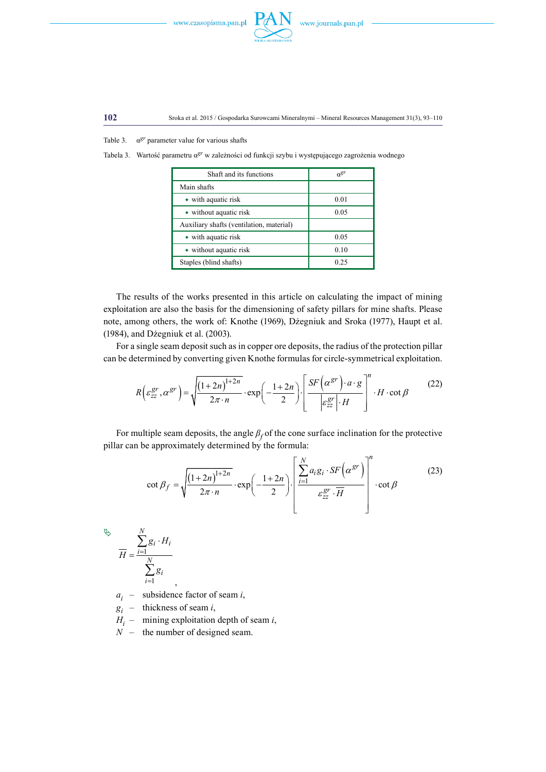



**102** Sroka et al. 2015 / Gospodarka Surowcami Mineralnymi – Mineral Resources Management 31(3), 93–110

Table 3. α*gr* parameter value for various shafts

Tabela 3. Wartość parametru α*gr* w zależności od funkcji szybu i występującego zagrożenia wodnego

| Shaft and its functions                  | $n^{gr}$ |
|------------------------------------------|----------|
| Main shafts                              |          |
| $\bullet$ with aquatic risk              | 0.01     |
| • without aquatic risk                   | 0.05     |
| Auxiliary shafts (ventilation, material) |          |
| $\bullet$ with aquatic risk              | 0.05     |
| • without aquatic risk                   | 0.10     |
| Staples (blind shafts)                   | 0.25     |

The results of the works presented in this article on calculating the impact of mining exploitation are also the basis for the dimensioning of safety pillars for mine shafts. Please note, among others, the work of: Knothe (1969), Dżegniuk and Sroka (1977), Haupt et al. (1984), and Dżegniuk et al. (2003).

For a single seam deposit such as in copper ore deposits, the radius of the protection pillar can be determined by converting given Knothe formulas for circle-symmetrical exploitation.

$$
R\left(\varepsilon_{zz}^{gr}, \alpha^{gr}\right) = \sqrt{\frac{\left(1+2n\right)^{1+2n}}{2\pi \cdot n}} \cdot \exp\left(-\frac{1+2n}{2}\right) \cdot \left[\frac{SF\left(\alpha^{gr}\right) \cdot a \cdot g}{\left|\varepsilon_{zz}^{gr}\right| \cdot H}\right]^{n} \cdot H \cdot \cot \beta
$$
 (22)

For multiple seam deposits, the angle  $\beta_f$  of the cone surface inclination for the protective pillar can be approximately determined by the formula:

$$
\cot \beta_f = \sqrt{\frac{\left(1+2n\right)^{1+2n}}{2\pi \cdot n}} \cdot \exp\left(-\frac{1+2n}{2}\right) \cdot \left[\frac{\sum_{i=1}^N a_i g_i \cdot SF\left(\alpha^{gr}\right)}{\varepsilon_{zz}^{gr} \cdot \overline{H}}\right]^n \cdot \cot \beta \tag{23}
$$

$$
\stackrel{\forall\diamond}{H} = \frac{\sum_{i=1}^{N} g_i \cdot H_i}{\sum_{i=1}^{N} g_i},
$$

*ai* – subsidence factor of seam *i*,

*gi* – thickness of seam *i*,

- $H_i$  mining exploitation depth of seam *i*,
- $\overrightarrow{N}$  the number of designed seam.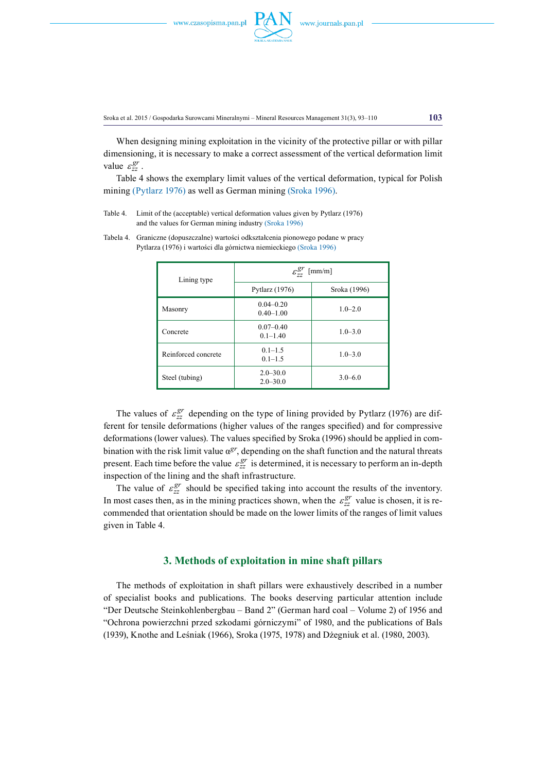

When designing mining exploitation in the vicinity of the protective pillar or with pillar dimensioning, it is necessary to make a correct assessment of the vertical deformation limit value  $\varepsilon_{zz}^{gr}$ .

Table 4 shows the exemplary limit values of the vertical deformation, typical for Polish mining (Pytlarz 1976) as well as German mining (Sroka 1996).

Table 4. Limit of the (acceptable) vertical deformation values given by Pytlarz (1976) and the values for German mining industry (Sroka 1996)

| Lining type         | $\varepsilon_{\tau\tau}^{gr}$<br>$\lceil$ mm/m $\rceil$ |              |
|---------------------|---------------------------------------------------------|--------------|
|                     | Pytlarz $(1976)$                                        | Sroka (1996) |
| Masonry             | $0.04 - 0.20$<br>$0.40 - 1.00$                          | $1.0 - 2.0$  |
| Concrete            | $0.07 - 0.40$<br>$0.1 - 1.40$                           | $1.0 - 3.0$  |
| Reinforced concrete | $0.1 - 1.5$<br>$0.1 - 1.5$                              | $1.0 - 3.0$  |
| Steel (tubing)      | $2.0 - 30.0$<br>$2.0 - 30.0$                            | $3.0 - 6.0$  |

Tabela 4. Graniczne (dopuszczalne) wartości odkształcenia pionowego podane w pracy Pytlarza (1976) i wartości dla górnictwa niemieckiego (Sroka 1996)

The values of  $\varepsilon_{zz}^{gr}$  depending on the type of lining provided by Pytlarz (1976) are different for tensile deformations (higher values of the ranges specified) and for compressive deformations (lower values). The values specified by Sroka (1996) should be applied in combination with the risk limit value  $\alpha^{gr}$ , depending on the shaft function and the natural threats present. Each time before the value  $\varepsilon_{zz}^{gr}$  is determined, it is necessary to perform an in-depth inspection of the lining and the shaft infrastructure.

The value of  $\varepsilon_{zz}^{gr}$  should be specified taking into account the results of the inventory. In most cases then, as in the mining practices shown, when the  $\varepsilon_{zz}^{gr}$  value is chosen, it is recommended that orientation should be made on the lower limits of the ranges of limit values given in Table 4.

## **3. Methods of exploitation in mine shaft pillars**

The methods of exploitation in shaft pillars were exhaustively described in a number of specialist books and publications. The books deserving particular attention include "Der Deutsche Steinkohlenbergbau – Band 2" (German hard coal – Volume 2) of 1956 and "Ochrona powierzchni przed szkodami górniczymi" of 1980, and the publications of Bals (1939), Knothe and Leśniak (1966), Sroka (1975, 1978) and Dżegniuk et al. (1980, 2003).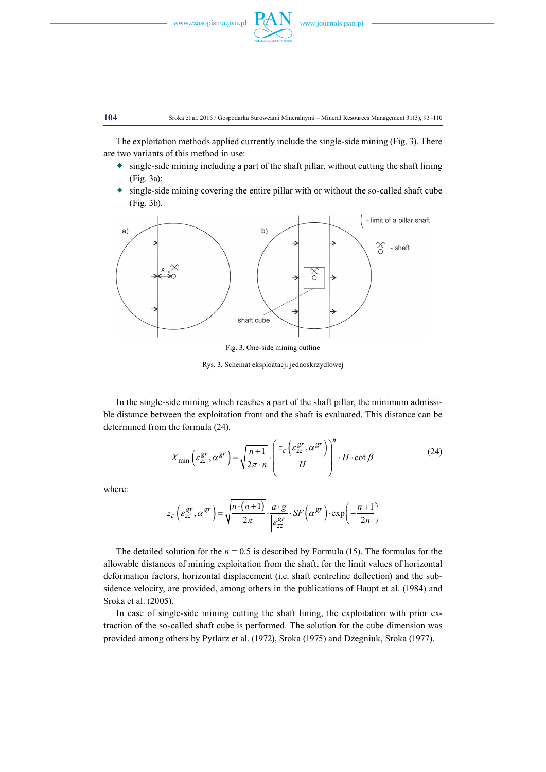

The exploitation methods applied currently include the single-side mining (Fig. 3). There are two variants of this method in use:

- $\bullet$  single-side mining including a part of the shaft pillar, without cutting the shaft lining (Fig. 3a);
- single-side mining covering the entire pillar with or without the so-called shaft cube (Fig. 3b).



Fig. 3. One-side mining outline

Rys. 3. Schemat eksploatacji jednoskrzydłowej

In the single-side mining which reaches a part of the shaft pillar, the minimum admissible distance between the exploitation front and the shaft is evaluated. This distance can be determined from the formula (24).

$$
X_{\min}\left(\varepsilon_{zz}^{gr}, \alpha^{gr}\right) = \sqrt{\frac{n+1}{2\pi \cdot n}} \cdot \left(\frac{z_{\varepsilon}\left(\varepsilon_{zz}^{gr}, \alpha^{gr}\right)}{H}\right)^n \cdot H \cdot \cot \beta \tag{24}
$$

where:

$$
z_{\varepsilon} \left( \varepsilon_{zz}^{gr}, \alpha^{gr} \right) = \sqrt{\frac{n \cdot (n+1)}{2\pi}} \cdot \frac{a \cdot g}{\left| \varepsilon_{zz}^{gr} \right|} \cdot SF\left( \alpha^{gr} \right) \cdot \exp\left( -\frac{n+1}{2n} \right)
$$

The detailed solution for the  $n = 0.5$  is described by Formula (15). The formulas for the allowable distances of mining exploitation from the shaft, for the limit values of horizontal deformation factors, horizontal displacement (i.e. shaft centreline deflection) and the subsidence velocity, are provided, among others in the publications of Haupt et al. (1984) and Sroka et al. (2005).

In case of single-side mining cutting the shaft lining, the exploitation with prior extraction of the so-called shaft cube is performed. The solution for the cube dimension was provided among others by Pytlarz et al. (1972), Sroka (1975) and Dżegniuk, Sroka (1977).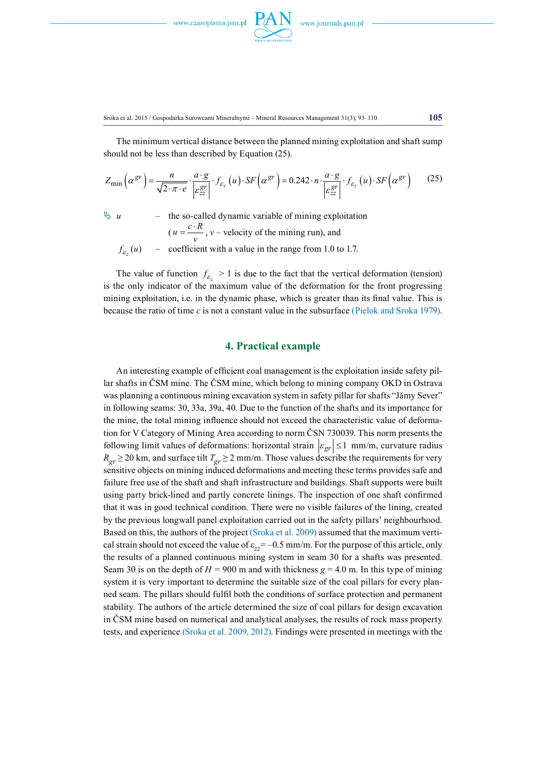

The minimum vertical distance between the planned mining exploitation and shaft sump should not be less than described by Equation (25).

$$
Z_{\min}\left(\alpha^{gr}\right) = \frac{n}{\sqrt{2 \cdot \pi \cdot e}} \cdot \frac{a \cdot g}{\left|\varepsilon_{zz}^{gr}\right|} \cdot f_{\varepsilon_z}\left(u\right) \cdot SF\left(\alpha^{gr}\right) = 0.242 \cdot n \cdot \frac{a \cdot g}{\left|\varepsilon_{zz}^{gr}\right|} \cdot f_{\varepsilon_z}\left(u\right) \cdot SF\left(\alpha^{gr}\right) \tag{25}
$$

 $\psi u$  – the so-called dynamic variable of mining exploitation  $(u = \frac{c \cdot R}{v}$ ,  $v$  – velocity of the mining run), and  $f_{\epsilon}(u)$  $f_{\varepsilon_z}(u)$  – coefficient with a value in the range from 1.0 to 1.7.

The value of function  $f_{\varepsilon} > 1$  is due to the fact that the vertical deformation (tension) is the only indicator of the maximum value of the deformation for the front progressing mining exploitation, i.e. in the dynamic phase, which is greater than its final value. This is because the ratio of time *c* is not a constant value in the subsurface (Pielok and Sroka 1979).

### **4. Practical example**

An interesting example of efficient coal management is the exploitation inside safety pillar shafts in ČSM mine. The ČSM mine, which belong to mining company OKD in Ostrava was planning a continuous mining excavation system in safety pillar for shafts "Jămy Sever" in following seams: 30, 33a, 39a, 40. Due to the function of the shafts and its importance for the mine, the total mining influence should not exceed the characteristic value of deformation for V Category of Mining Area according to norm ČSN 730039. This norm presents the following limit values of deformations: horizontal strain  $|\varepsilon_{gr}| \le 1$  mm/m, curvature radius  $R_{gr} \ge 20$  km, and surface tilt  $T_{gr} \ge 2$  mm/m. Those values describe the requirements for very sensitive objects on mining induced deformations and meeting these terms provides safe and failure free use of the shaft and shaft infrastructure and buildings. Shaft supports were built using party brick-lined and partly concrete linings. The inspection of one shaft confirmed that it was in good technical condition. There were no visible failures of the lining, created by the previous longwall panel exploitation carried out in the safety pillars' neighbourhood. Based on this, the authors of the project (Sroka et al. 2009) assumed that the maximum vertical strain should not exceed the value of  $\varepsilon_{zz} = -0.5$  mm/m. For the purpose of this article, only the results of a planned continuous mining system in seam 30 for a shafts was presented. Seam 30 is on the depth of  $H = 900$  m and with thickness  $g = 4.0$  m. In this type of mining system it is very important to determine the suitable size of the coal pillars for every planned seam. The pillars should fulfil both the conditions of surface protection and permanent stability. The authors of the article determined the size of coal pillars for design excavation in ČSM mine based on numerical and analytical analyses, the results of rock mass property tests, and experience (Sroka et al. 2009, 2012). Findings were presented in meetings with the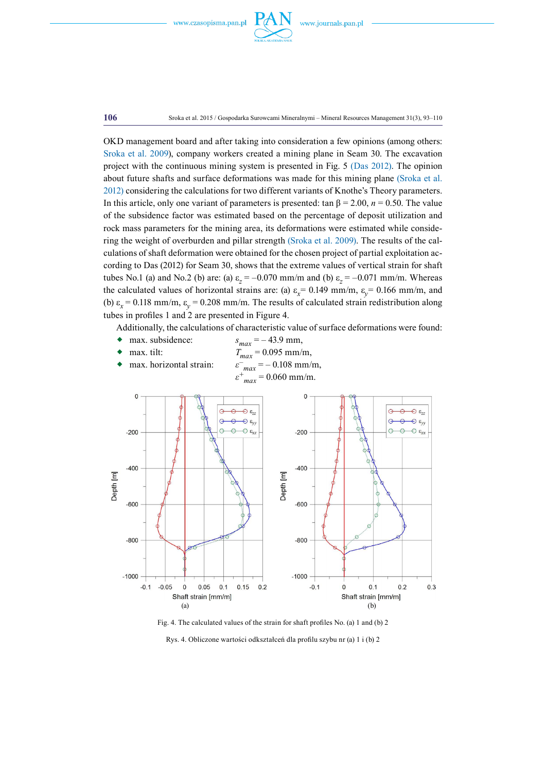

**106** Sroka et al. 2015 / Gospodarka Surowcami Mineralnymi – Mineral Resources Management 31(3), 93–110

OKD management board and after taking into consideration a few opinions (among others: Sroka et al. 2009), company workers created a mining plane in Seam 30. The excavation project with the continuous mining system is presented in Fig. 5 (Das 2012). The opinion about future shafts and surface deformations was made for this mining plane (Sroka et al. 2012) considering the calculations for two different variants of Knothe's Theory parameters. In this article, only one variant of parameters is presented: tan  $\beta$  = 2.00, *n* = 0.50. The value of the subsidence factor was estimated based on the percentage of deposit utilization and rock mass parameters for the mining area, its deformations were estimated while considering the weight of overburden and pillar strength (Sroka et al. 2009). The results of the calculations of shaft deformation were obtained for the chosen project of partial exploitation according to Das (2012) for Seam 30, shows that the extreme values of vertical strain for shaft tubes No.1 (a) and No.2 (b) are: (a)  $\varepsilon_z = -0.070$  mm/m and (b)  $\varepsilon_z = -0.071$  mm/m. Whereas the calculated values of horizontal strains are: (a)  $\varepsilon_x = 0.149$  mm/m,  $\varepsilon_y = 0.166$  mm/m, and (b)  $\varepsilon_x = 0.118$  mm/m,  $\varepsilon_y = 0.208$  mm/m. The results of calculated strain redistribution along tubes in profiles 1 and 2 are presented in Figure 4.

Additionally, the calculations of characteristic value of surface deformations were found:

- max. subsidence:  $s_{max} = -43.9$  mm,
- max. tilt:  $T_{max} = 0.095$  mm/m,
- max. horizontal strain: *ε–*  $\varepsilon^{-}$ <sub>max</sub> = - 0.108 mm/m, *ε<sup>+</sup>*  $\varepsilon^{+}{}_{max} = 0.060$  mm/m.



Fig. 4. The calculated values of the strain for shaft profiles No. (a) 1 and (b) 2

Rys. 4. Obliczone wartości odkształceń dla profilu szybu nr (a) 1 i (b) 2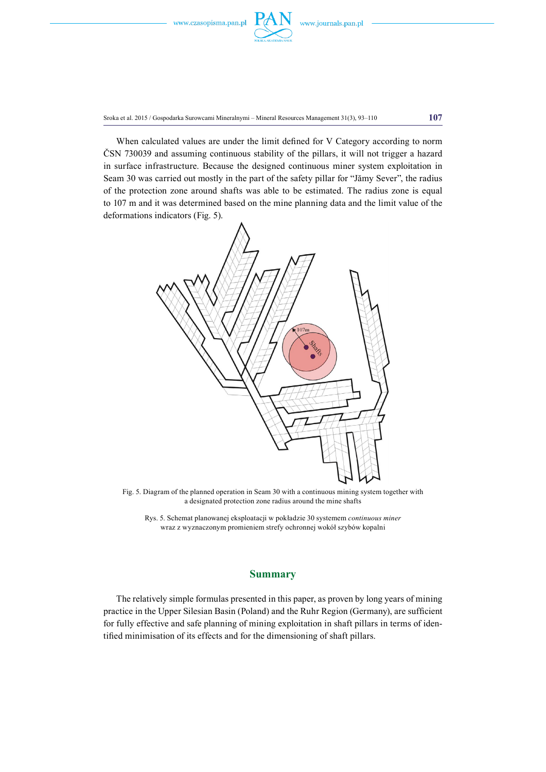





Sroka et al. 2015 / Gospodarka Surowcami Mineralnymi – Mineral Resources Management 31(3), 93–110 **107**

When calculated values are under the limit defined for V Category according to norm ČSN 730039 and assuming continuous stability of the pillars, it will not trigger a hazard in surface infrastructure. Because the designed continuous miner system exploitation in Seam 30 was carried out mostly in the part of the safety pillar for "Jămy Sever", the radius of the protection zone around shafts was able to be estimated. The radius zone is equal to 107 m and it was determined based on the mine planning data and the limit value of the deformations indicators (Fig. 5).



Fig. 5. Diagram of the planned operation in Seam 30 with a continuous mining system together with a designated protection zone radius around the mine shafts

Rys. 5. Schemat planowanej eksploatacji w pokładzie 30 systemem *continuous miner*  wraz z wyznaczonym promieniem strefy ochronnej wokół szybów kopalni

### **Summary**

The relatively simple formulas presented in this paper, as proven by long years of mining practice in the Upper Silesian Basin (Poland) and the Ruhr Region (Germany), are sufficient for fully effective and safe planning of mining exploitation in shaft pillars in terms of identified minimisation of its effects and for the dimensioning of shaft pillars.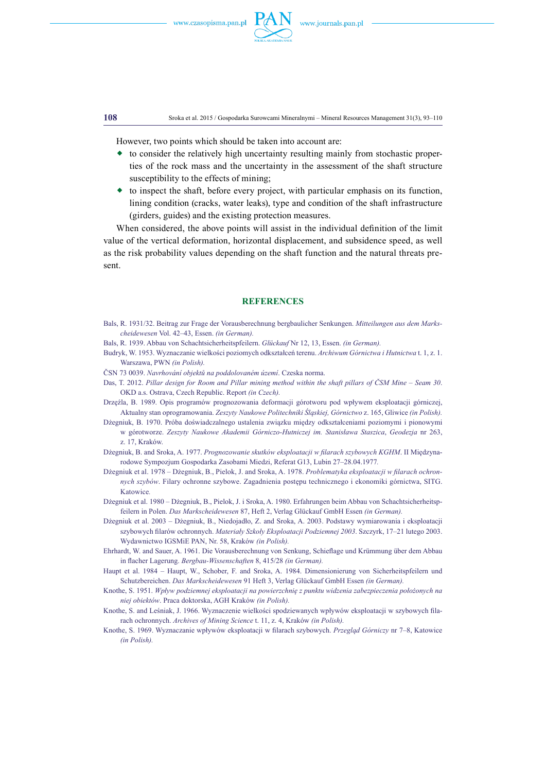

**108** Sroka et al. 2015 / Gospodarka Surowcami Mineralnymi – Mineral Resources Management 31(3), 93–110

However, two points which should be taken into account are:

- to consider the relatively high uncertainty resulting mainly from stochastic properties of the rock mass and the uncertainty in the assessment of the shaft structure susceptibility to the effects of mining;
- $\bullet$  to inspect the shaft, before every project, with particular emphasis on its function, lining condition (cracks, water leaks), type and condition of the shaft infrastructure (girders, guides) and the existing protection measures.

When considered, the above points will assist in the individual definition of the limit value of the vertical deformation, horizontal displacement, and subsidence speed, as well as the risk probability values depending on the shaft function and the natural threats present.

#### **References**

Bals, R. 1931/32. Beitrag zur Frage der Vorausberechnung bergbaulicher Senkungen. *Mitteilungen aus dem Markscheidewesen* Vol. 42–43, Essen. *(in German).*

Bals, R. 1939. Abbau von Schachtsicherheitspfeilern. *Glückauf* Nr 12, 13, Essen. *(in German).*

- Budryk, W. 1953. Wyznaczanie wielkości poziomych odkształceń terenu. *Archiwum Górnictwa i Hutnictwa* t. 1, z. 1. Warszawa, PWN *(in Polish).*
- ČSN 73 0039. *Navrhování objektů na poddolovaném území*. Czeska norma.
- Das, T. 2012. *Pillar design for Room and Pillar mining method within the shaft pillars of ČSM Mine Seam 30*. OKD a.s. Ostrava, Czech Republic. Report *(in Czech).*
- Drzęźla, B. 1989. Opis programów prognozowania deformacji górotworu pod wpływem eksploatacji górniczej, Aktualny stan oprogramowania. *Zeszyty Naukowe Politechniki Śląskiej, Górnictwo* z. 165, Gliwice *(in Polish).*
- Dżegniuk, B. 1970. Próba doświadczalnego ustalenia związku między odkształceniami poziomymi i pionowymi w górotworze. *Zeszyty Naukowe Akademii Górniczo-Hutniczej im. Stanisława Staszica*, *Geodezja* nr 263, z. 17, Kraków.
- Dżegniuk, B. and Sroka, A. 1977. *Prognozowanie skutków eksploatacji w filarach szybowych KGHM*. II Międzynarodowe Sympozjum Gospodarka Zasobami Miedzi, Referat G13, Lubin 27–28.04.1977*.*
- Dżegniuk et al. 1978 Dżegniuk, B., Pielok, J. and Sroka, A. 1978. *Problematyka eksploatacji w filarach ochronnych szybów*. Filary ochronne szybowe. Zagadnienia postępu technicznego i ekonomiki górnictwa, SITG. Katowice*.*
- Dżegniuk et al. 1980 Dżegniuk, B., Pielok, J. i Sroka, A. 1980. Erfahrungen beim Abbau von Schachtsicherheitspfeilern in Polen. *Das Markscheidewesen* 87, Heft 2, Verlag Glückauf GmbH Essen *(in German).*
- Dżegniuk et al. 2003 Dżegniuk, B., Niedojadło, Z. and Sroka, A. 2003. Podstawy wymiarowania i eksploatacji szybowych filarów ochronnych. *Materiały Szkoły Eksploatacji Podziemnej 2003*. Szczyrk, 17–21 lutego 2003. Wydawnictwo IGSMiE PAN, Nr. 58, Kraków *(in Polish).*
- Ehrhardt, W. and Sauer, A. 1961. Die Vorausberechnung von Senkung, Schieflage und Krümmung über dem Abbau in flacher Lagerung. *Bergbau-Wissenschaften* 8, 415/28 *(in German).*
- Haupt et al. 1984 Haupt, W., Schober, F. and Sroka, A. 1984. Dimensionierung von Sicherheitspfeilern und Schutzbereichen. *Das Markscheidewesen* 91 Heft 3, Verlag Glückauf GmbH Essen *(in German).*
- Knothe, S. 1951. *Wpływ podziemnej eksploatacji na powierzchnię z punktu widzenia zabezpieczenia położonych na niej obiektów*. Praca doktorska, AGH Kraków *(in Polish).*
- Knothe, S. and Leśniak, J. 1966. Wyznaczenie wielkości spodziewanych wpływów eksploatacji w szybowych filarach ochronnych. *Archives of Mining Science* t. 11, z. 4, Kraków *(in Polish).*
- Knothe, S. 1969. Wyznaczanie wpływów eksploatacji w filarach szybowych. *Przegląd Górniczy* nr 7–8, Katowice *(in Polish).*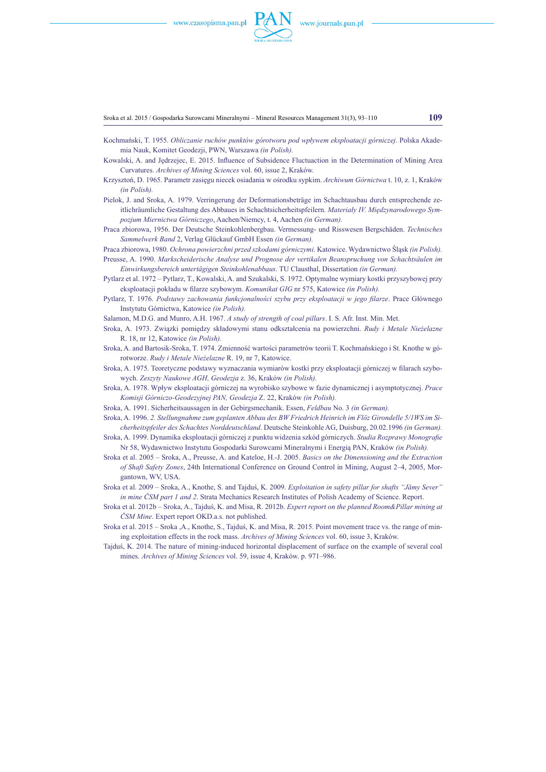

Sroka et al. 2015 / Gospodarka Surowcami Mineralnymi – Mineral Resources Management 31(3), 93–110 **109**

- Kochmański, T. 1955. *Obliczanie ruchów punktów górotworu pod wpływem eksploatacji górniczej*. Polska Akademia Nauk, Komitet Geodezji, PWN, Warszawa *(in Polish).*
- Kowalski, A. and Jędrzejec, E. 2015. Influence of Subsidence Fluctuaction in the Determination of Mining Area Curvatures. *Archives of Mining Sciences* vol. 60, issue 2, Kraków.
- Krzysztoń, D. 1965. Parametr zasięgu niecek osiadania w ośrodku sypkim. *Archiwum Górnictwa* t. 10, z. 1, Kraków *(in Polish).*
- Pielok, J. and Sroka, A. 1979. Verringerung der Deformationsbeträge im Schachtausbau durch entsprechende zeitlichräumliche Gestaltung des Abbaues in Schachtsicherheitspfeilern. *Materiały IV. Międzynarodowego Sympozjum Miernictwa Górniczego*, Aachen/Niemcy, t. 4, Aachen *(in German).*
- Praca zbiorowa, 1956. Der Deutsche Steinkohlenbergbau. Vermessung- und Risswesen Bergschäden. *Technisches Sammelwerk Band* 2, Verlag Glückauf GmbH Essen *(in German).*
- Praca zbiorowa, 1980. *Ochrona powierzchni przed szkodami górniczymi*. Katowice. Wydawnictwo Śląsk *(in Polish).* Preusse, A. 1990. *Markscheiderische Analyse und Prognose der vertikalen Beanspruchung von Schachtsäulen im Einwirkungsbereich untertägigen Steinkohlenabbaus*. TU Clausthal, Dissertation *(in German).*
- Pytlarz et al. 1972 Pytlarz, T., Kowalski, A. and Szukalski, S. 1972. Optymalne wymiary kostki przyszybowej przy eksploatacji pokładu w filarze szybowym. *Komunikat GIG* nr 575, Katowice *(in Polish).*
- Pytlarz, T. 1976. *Podstawy zachowania funkcjonalności szybu przy eksploatacji w jego filarze*. Prace Głównego Instytutu Górnictwa, Katowice *(in Polish).*
- Salamon, M.D.G. and Munro, A.H. 1967. *A study of strength of coal pillars*. I. S. Afr. Inst. Min. Met.
- Sroka, A. 1973. Związki pomiędzy składowymi stanu odkształcenia na powierzchni. *Rudy i Metale Nieżelazne* R. 18, nr 12, Katowice *(in Polish).*
- Sroka, A. and Bartosik-Sroka, T. 1974. Zmienność wartości parametrów teorii T. Kochmańskiego i St. Knothe w górotworze. *Rudy i Metale Nieżelazne* R. 19, nr 7, Katowice.
- Sroka, A. 1975. Teoretyczne podstawy wyznaczania wymiarów kostki przy eksploatacji górniczej w filarach szybowych. *Zeszyty Naukowe AGH, Geodezja* z. 36, Kraków *(in Polish).*
- Sroka, A. 1978. Wpływ eksploatacji górniczej na wyrobisko szybowe w fazie dynamicznej i asymptotycznej. *Prace Komisji Górniczo-Geodezyjnej PAN, Geodezja* Z. 22, Kraków *(in Polish).*
- Sroka, A. 1991. Sicherheitsaussagen in der Gebirgsmechanik. Essen, *Feldbau* No. 3 *(in German).*
- Sroka, A. 1996. *2. Stellungnahme zum geplanten Abbau des BW Friedrich Heinrich im Flöz Girondelle 5/1WS im Sicherheitspfeiler des Schachtes Norddeutschland*. Deutsche Steinkohle AG, Duisburg, 20.02.1996 *(in German).*
- Sroka, A. 1999. Dynamika eksploatacji górniczej z punktu widzenia szkód górniczych. *Studia Rozprawy Monografie* Nr 58, Wydawnictwo Instytutu Gospodarki Surowcami Mineralnymi i Energią PAN, Kraków *(in Polish).*
- Sroka et al. 2005 Sroka, A., Preusse, A. and Kateloe, H.-J. 2005. *Basics on the Dimensioning and the Extraction of Shaft Safety Zones*, 24th International Conference on Ground Control in Mining, August 2–4, 2005, Morgantown, WV, USA.
- Sroka et al. 2009 Sroka, A., Knothe, S. and Tajduś, K. 2009. *Exploitation in safety pillar for shafts "Jămy Sever" in mine ČSM part 1 and 2*. Strata Mechanics Research Institutes of Polish Academy of Science. Report.
- Sroka et al. 2012b Sroka, A., Tajduś, K. and Misa, R. 2012b. *Expert report on the planned Room&Pillar mining at ČSM Mine*. Expert report OKD.a.s. not published.
- Sroka et al. 2015 Sroka ,A., Knothe, S., Tajduś, K. and Misa, R. 2015. Point movement trace vs. the range of mining exploitation effects in the rock mass. *Archives of Mining Sciences* vol. 60, issue 3, Kraków.
- Tajduś, K. 2014. The nature of mining-induced horizontal displacement of surface on the example of several coal mines. *Archives of Mining Sciences* vol. 59, issue 4, Kraków. p. 971–986.